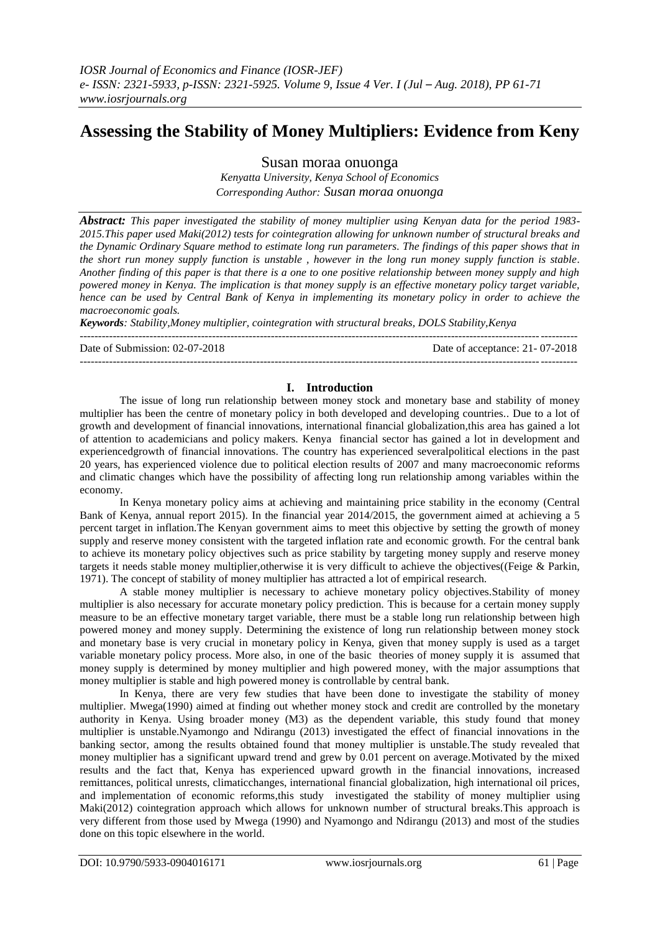# **Assessing the Stability of Money Multipliers: Evidence from Keny**

Susan moraa onuonga

*Kenyatta University, Kenya School of Economics Corresponding Author: Susan moraa onuonga*

*Abstract: This paper investigated the stability of money multiplier using Kenyan data for the period 1983- 2015.This paper used Maki(2012) tests for cointegration allowing for unknown number of structural breaks and the Dynamic Ordinary Square method to estimate long run parameters. The findings of this paper shows that in the short run money supply function is unstable , however in the long run money supply function is stable. Another finding of this paper is that there is a one to one positive relationship between money supply and high powered money in Kenya. The implication is that money supply is an effective monetary policy target variable, hence can be used by Central Bank of Kenya in implementing its monetary policy in order to achieve the macroeconomic goals.*

*Keywords: Stability,Money multiplier, cointegration with structural breaks, DOLS Stability,Kenya*

--------------------------------------------------------------------------------------------------------------------------------------- Date of Submission: 02-07-2018 Date of acceptance: 21- 07-2018

## **I. Introduction**

---------------------------------------------------------------------------------------------------------------------------------------

The issue of long run relationship between money stock and monetary base and stability of money multiplier has been the centre of monetary policy in both developed and developing countries.. Due to a lot of growth and development of financial innovations, international financial globalization,this area has gained a lot of attention to academicians and policy makers. Kenya financial sector has gained a lot in development and experiencedgrowth of financial innovations. The country has experienced severalpolitical elections in the past 20 years, has experienced violence due to political election results of 2007 and many macroeconomic reforms and climatic changes which have the possibility of affecting long run relationship among variables within the economy.

In Kenya monetary policy aims at achieving and maintaining price stability in the economy (Central Bank of Kenya, annual report 2015). In the financial year 2014/2015, the government aimed at achieving a 5 percent target in inflation.The Kenyan government aims to meet this objective by setting the growth of money supply and reserve money consistent with the targeted inflation rate and economic growth. For the central bank to achieve its monetary policy objectives such as price stability by targeting money supply and reserve money targets it needs stable money multiplier,otherwise it is very difficult to achieve the objectives((Feige & Parkin, [1971\)](http://cogentoa.tandfonline.com/doi/abs/10.1080/23322039.2016.1187780#CIT0014). The concept of stability of money multiplier has attracted a lot of empirical research.

A stable money multiplier is necessary to achieve monetary policy objectives.Stability of money multiplier is also necessary for accurate monetary policy prediction. This is because for a certain money supply measure to be an effective monetary target variable, there must be a stable long run relationship between high powered money and money supply. Determining the existence of long run relationship between money stock and monetary base is very crucial in monetary policy in Kenya, given that money supply is used as a target variable monetary policy process. More also, in one of the basic theories of money supply it is assumed that money supply is determined by money multiplier and high powered money, with the major assumptions that money multiplier is stable and high powered money is controllable by central bank.

In Kenya, there are very few studies that have been done to investigate the stability of money multiplier. Mwega(1990) aimed at finding out whether money stock and credit are controlled by the monetary authority in Kenya. Using broader money (M3) as the dependent variable, this study found that money multiplier is unstable.Nyamongo and Ndirangu (2013) investigated the effect of financial innovations in the banking sector, among the results obtained found that money multiplier is unstable.The study revealed that money multiplier has a significant upward trend and grew by 0.01 percent on average.Motivated by the mixed results and the fact that, Kenya has experienced upward growth in the financial innovations, increased remittances, political unrests, climaticchanges, international financial globalization, high international oil prices, and implementation of economic reforms,this study investigated the stability of money multiplier using Maki(2012) cointegration approach which allows for unknown number of structural breaks.This approach is very different from those used by Mwega (1990) and Nyamongo and Ndirangu (2013) and most of the studies done on this topic elsewhere in the world.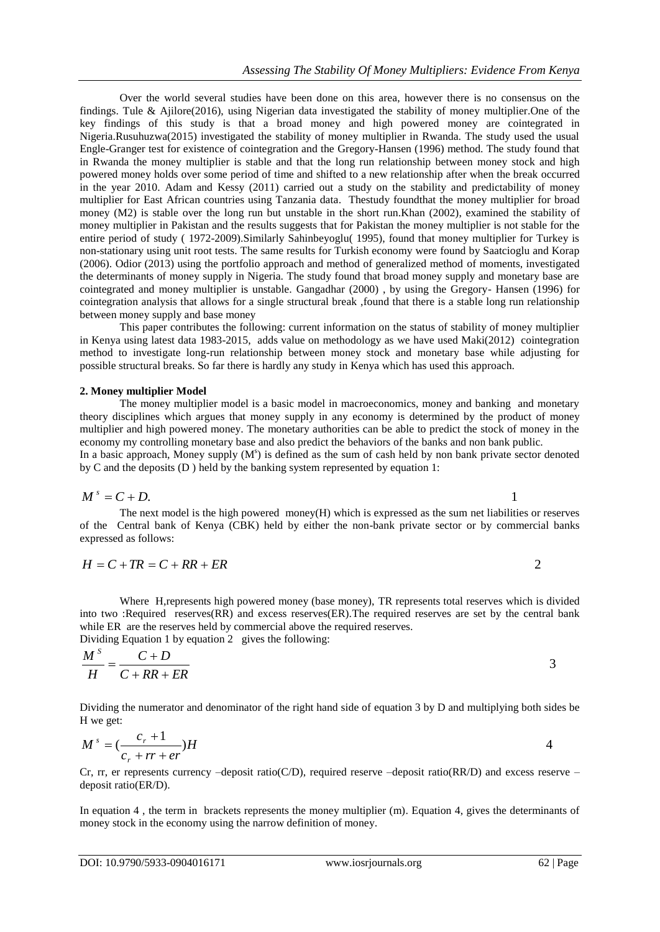Over the world several studies have been done on this area, however there is no consensus on the findings. Tule & Ajilore(2016), using Nigerian data investigated the stability of money multiplier.One of the key findings of this study is that a broad money and high powered money are cointegrated in Nigeria.Rusuhuzwa(2015) investigated the stability of money multiplier in Rwanda. The study used the usual Engle-Granger test for existence of cointegration and the Gregory-Hansen (1996) method. The study found that in Rwanda the money multiplier is stable and that the long run relationship between money stock and high powered money holds over some period of time and shifted to a new relationship after when the break occurred in the year 2010. Adam and Kessy (2011) carried out a study on the stability and predictability of money multiplier for East African countries using Tanzania data. Thestudy foundthat the money multiplier for broad money (M2) is stable over the long run but unstable in the short run.Khan (2002), examined the stability of money multiplier in Pakistan and the results suggests that for Pakistan the money multiplier is not stable for the entire period of study ( 1972-2009).Similarly Sahinbeyoglu( 1995), found that money multiplier for Turkey is non-stationary using unit root tests. The same results for Turkish economy were found by Saatcioglu and Korap (2006). Odior (2013) using the portfolio approach and method of generalized method of moments, investigated the determinants of money supply in Nigeria. The study found that broad money supply and monetary base are cointegrated and money multiplier is unstable. Gangadhar (2000) , by using the Gregory- Hansen (1996) for cointegration analysis that allows for a single structural break ,found that there is a stable long run relationship between money supply and base money

This paper contributes the following: current information on the status of stability of money multiplier in Kenya using latest data 1983-2015, adds value on methodology as we have used Maki(2012) cointegration method to investigate long-run relationship between money stock and monetary base while adjusting for possible structural breaks. So far there is hardly any study in Kenya which has used this approach.

## **2. Money multiplier Model**

The money multiplier model is a basic model in macroeconomics, money and banking and monetary theory disciplines which argues that money supply in any economy is determined by the product of money multiplier and high powered money. The monetary authorities can be able to predict the stock of money in the economy my controlling monetary base and also predict the behaviors of the banks and non bank public. In a basic approach, Money supply (M<sup>s</sup>) is defined as the sum of cash held by non bank private sector denoted by C and the deposits (D ) held by the banking system represented by equation 1:

$$
M^s = C + D. \tag{1}
$$

The next model is the high powered money(H) which is expressed as the sum net liabilities or reserves of the Central bank of Kenya (CBK) held by either the non-bank private sector or by commercial banks expressed as follows:

$$
H = C + TR = C + RR + ER
$$

Where H,represents high powered money (base money), TR represents total reserves which is divided into two :Required reserves(RR) and excess reserves(ER).The required reserves are set by the central bank while ER are the reserves held by commercial above the required reserves.

Dividing Equation 1 by equation 2 gives the following:

$$
\frac{M^s}{H} = \frac{C+D}{C+RR+ER}
$$
3

Dividing the numerator and denominator of the right hand side of equation 3 by D and multiplying both sides be H we get:

$$
M^s = \left(\frac{c_r + 1}{c_r + rr + er}\right)H
$$
4

Cr, rr, er represents currency –deposit ratio(C/D), required reserve –deposit ratio(RR/D) and excess reserve – deposit ratio(ER/D).

In equation 4 , the term in brackets represents the money multiplier (m). Equation 4, gives the determinants of money stock in the economy using the narrow definition of money.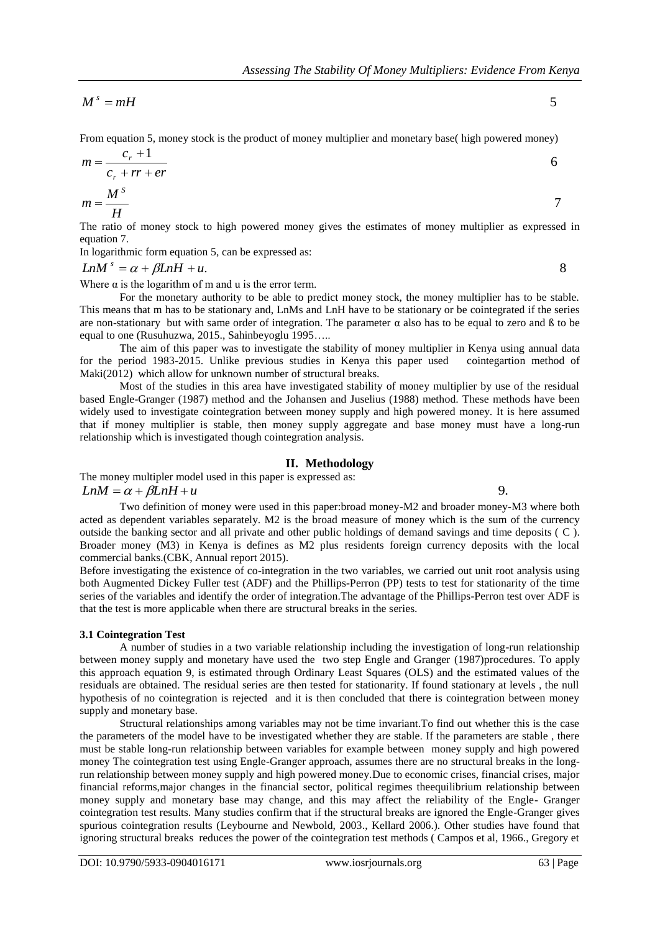<sup>*s*</sup> =

From equation 5, money stock is the product of money multiplier and monetary base( high powered money)

$$
m = \frac{c_r + 1}{c_r + rr + er}
$$
  

$$
m = \frac{M^s}{H}
$$

The ratio of money stock to high powered money gives the estimates of money multiplier as expressed in equation 7.

In logarithmic form equation 5, can be expressed as:

 $LnM^s = \alpha + \beta LnH + u.$  8

Where  $\alpha$  is the logarithm of m and u is the error term.

For the monetary authority to be able to predict money stock, the money multiplier has to be stable. This means that m has to be stationary and, LnMs and LnH have to be stationary or be cointegrated if the series are non-stationary but with same order of integration. The parameter α also has to be equal to zero and ß to be equal to one (Rusuhuzwa, 2015., Sahinbeyoglu 1995…..

The aim of this paper was to investigate the stability of money multiplier in Kenya using annual data period 1983-2015. Unlike previous studies in Kenya this paper used cointegartion method of for the period  $1983-2015$ . Unlike previous studies in Kenya this paper used Maki(2012) which allow for unknown number of structural breaks.

Most of the studies in this area have investigated stability of money multiplier by use of the residual based Engle-Granger (1987) method and the Johansen and Juselius (1988) method. These methods have been widely used to investigate cointegration between money supply and high powered money. It is here assumed that if money multiplier is stable, then money supply aggregate and base money must have a long-run relationship which is investigated though cointegration analysis.

## **II. Methodology**

The money multipler model used in this paper is expressed as:  $LnM = \alpha + \beta LnH + u$  9.

Two definition of money were used in this paper:broad money-M2 and broader money-M3 where both acted as dependent variables separately. M2 is the broad measure of money which is the sum of the currency outside the banking sector and all private and other public holdings of demand savings and time deposits ( C ). Broader money (M3) in Kenya is defines as M2 plus residents foreign currency deposits with the local commercial banks.(CBK, Annual report 2015).

Before investigating the existence of co-integration in the two variables, we carried out unit root analysis using both Augmented Dickey Fuller test (ADF) and the Phillips-Perron (PP) tests to test for stationarity of the time series of the variables and identify the order of integration.The advantage of the Phillips-Perron test over ADF is that the test is more applicable when there are structural breaks in the series.

## **3.1 Cointegration Test**

A number of studies in a two variable relationship including the investigation of long-run relationship between money supply and monetary have used the two step Engle and Granger (1987)procedures. To apply this approach equation 9, is estimated through Ordinary Least Squares (OLS) and the estimated values of the residuals are obtained. The residual series are then tested for stationarity. If found stationary at levels , the null hypothesis of no cointegration is rejected and it is then concluded that there is cointegration between money supply and monetary base.

 $M' = mH$ <br>
One may also keep stack is the predact of money multiplier and nonearly boost high proventients on  $G_1 + H \rightarrow \pi$ <br>  $m = \frac{G_1 + 1}{G_1 + H \rightarrow \pi}$ <br>  $m = \frac{M'}{G_1 + H \rightarrow \pi}$ <br>  $m = \frac{M'}{G_1 + H \rightarrow \pi}$ <br>
The same of money stock be hig Structural relationships among variables may not be time invariant.To find out whether this is the case the parameters of the model have to be investigated whether they are stable. If the parameters are stable , there must be stable long-run relationship between variables for example between money supply and high powered money The cointegration test using Engle-Granger approach, assumes there are no structural breaks in the longrun relationship between money supply and high powered money.Due to economic crises, financial crises, major financial reforms,major changes in the financial sector, political regimes theequilibrium relationship between money supply and monetary base may change, and this may affect the reliability of the Engle- Granger cointegration test results. Many studies confirm that if the structural breaks are ignored the Engle-Granger gives spurious cointegration results (Leybourne and Newbold, 2003., Kellard 2006.). Other studies have found that ignoring structural breaks reduces the power of the cointegration test methods ( Campos et al, 1966., Gregory et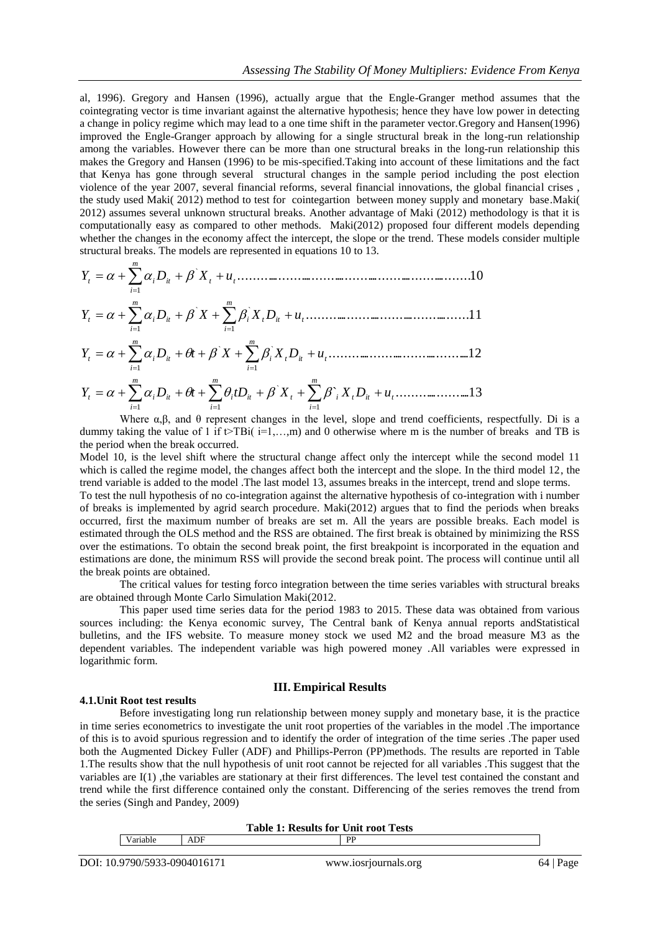al, 1996). Gregory and Hansen (1996), actually argue that the Engle-Granger method assumes that the cointegrating vector is time invariant against the alternative hypothesis; hence they have low power in detecting a change in policy regime which may lead to a one time shift in the parameter vector.Gregory and Hansen(1996) improved the Engle-Granger approach by allowing for a single structural break in the long-run relationship among the variables. However there can be more than one structural breaks in the long-run relationship this makes the Gregory and Hansen (1996) to be mis-specified.Taking into account of these limitations and the fact that Kenya has gone through several structural changes in the sample period including the post election violence of the year 2007, several financial reforms, several financial innovations, the global financial crises , the study used Maki( 2012) method to test for cointegartion between money supply and monetary base.Maki( 2012) assumes several unknown structural breaks. Another advantage of Maki (2012) methodology is that it is computationally easy as compared to other methods. Maki(2012) proposed four different models depending whether the changes in the economy affect the intercept, the slope or the trend. These models consider multiple structural breaks. The models are represented in equations 10 to 13.

.................................................11 ......................................................................10 ` ` ` 1 *t it t m it i m t i it t t m i t i Y D X X D u Y D X u* 

......................................... .12 1 *i* ` ` 1 *i* 1 1 *t it t m it i m t i i i Y D t X X D u* 

` ..................... .13 1 ` 1 1 *t it t m i it t i m i it i m i t i Y D t tD X X D u* 

Where  $\alpha, \beta$ , and  $\theta$  represent changes in the level, slope and trend coefficients, respectfully. Di is a dummy taking the value of 1 if  $\triangleright$ TBi( $i=1,...,m$ ) and 0 otherwise where m is the number of breaks and TB is the period when the break occurred.

Model 10, is the level shift where the structural change affect only the intercept while the second model 11 which is called the regime model, the changes affect both the intercept and the slope. In the third model 12, the trend variable is added to the model .The last model 13, assumes breaks in the intercept, trend and slope terms. To test the null hypothesis of no co-integration against the alternative hypothesis of co-integration with i number of breaks is implemented by agrid search procedure. Maki(2012) argues that to find the periods when breaks occurred, first the maximum number of breaks are set m. All the years are possible breaks. Each model is estimated through the OLS method and the RSS are obtained. The first break is obtained by minimizing the RSS over the estimations. To obtain the second break point, the first breakpoint is incorporated in the equation and estimations are done, the minimum RSS will provide the second break point. The process will continue until all the break points are obtained.

The critical values for testing forco integration between the time series variables with structural breaks are obtained through Monte Carlo Simulation Maki(2012.

This paper used time series data for the period 1983 to 2015. These data was obtained from various sources including: the Kenya economic survey, The Central bank of Kenya annual reports andStatistical bulletins, and the IFS website. To measure money stock we used M2 and the broad measure M3 as the dependent variables. The independent variable was high powered money .All variables were expressed in logarithmic form.

## **III. Empirical Results**

#### **4.1.Unit Root test results**

Before investigating long run relationship between money supply and monetary base, it is the practice in time series econometrics to investigate the unit root properties of the variables in the model .The importance of this is to avoid spurious regression and to identify the order of integration of the time series .The paper used both the Augmented Dickey Fuller (ADF) and Phillips-Perron (PP)methods. The results are reported in Table 1.The results show that the null hypothesis of unit root cannot be rejected for all variables .This suggest that the variables are I(1) ,the variables are stationary at their first differences. The level test contained the constant and trend while the first difference contained only the constant. Differencing of the series removes the trend from the series (Singh and Pandey, 2009)

| <b>DD</b> |
|-----------|
| ADF       |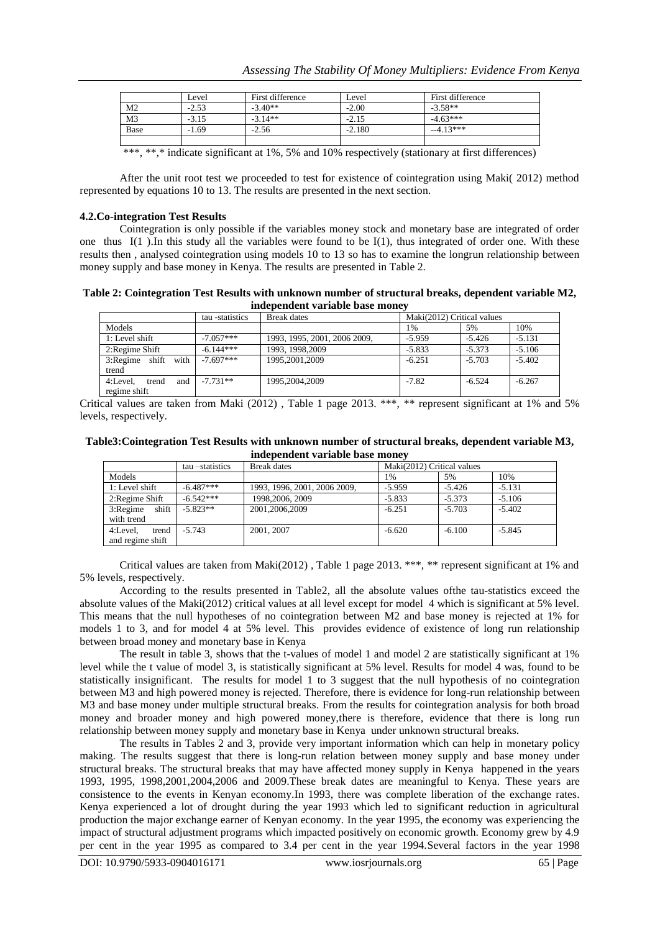|                | Level   | First difference | Level    | First difference |
|----------------|---------|------------------|----------|------------------|
| M <sub>2</sub> | $-2.53$ | $-3.40**$        | $-2.00$  | $-3.58**$        |
| M <sub>3</sub> | $-3.15$ | $-3.14**$        | $-2.15$  | $-4.63***$       |
| Base           | $-1.69$ | $-2.56$          | $-2.180$ | $-4.13***$       |
|                |         |                  |          |                  |

\*\*\*, \*\*,\* indicate significant at 1%, 5% and 10% respectively (stationary at first differences)

After the unit root test we proceeded to test for existence of cointegration using Maki( 2012) method represented by equations 10 to 13. The results are presented in the next section.

#### **4.2.Co-integration Test Results**

Cointegration is only possible if the variables money stock and monetary base are integrated of order one thus  $I(1)$ . In this study all the variables were found to be  $I(1)$ , thus integrated of order one. With these results then , analysed cointegration using models 10 to 13 so has to examine the longrun relationship between money supply and base money in Kenya. The results are presented in Table 2.

**Table 2: Cointegration Test Results with unknown number of structural breaks, dependent variable M2, independent variable base money**

|                                          | tau -statistics | <b>Break</b> dates           | Maki(2012) Critical values |          |          |
|------------------------------------------|-----------------|------------------------------|----------------------------|----------|----------|
| <b>Models</b>                            |                 |                              | 1%                         | 5%       | 10%      |
| 1: Level shift                           | $-7.057***$     | 1993, 1995, 2001, 2006 2009, | $-5.959$                   | $-5.426$ | $-5.131$ |
| 2: Regime Shift                          | $-6.144***$     | 1993.1998.2009               | $-5.833$                   | $-5.373$ | $-5.106$ |
| 3:Regime shift with<br>trend             | $-7.697***$     | 1995.2001.2009               | $-6.251$                   | $-5.703$ | $-5.402$ |
| 4:Level.<br>and<br>trend<br>regime shift | $-7.731**$      | 1995.2004.2009               | $-7.82$                    | $-6.524$ | $-6.267$ |

Critical values are taken from Maki (2012), Table 1 page 2013. \*\*\*, \*\* represent significant at 1% and 5% levels, respectively.

| Table3: Cointegration Test Results with unknown number of structural breaks, dependent variable M3, |  |
|-----------------------------------------------------------------------------------------------------|--|
| independent variable base money                                                                     |  |

|                      | tau –statistics | Break dates                  | Maki(2012) Critical values |          |          |
|----------------------|-----------------|------------------------------|----------------------------|----------|----------|
| Models               |                 |                              | 1%                         | 5%       | 10%      |
| 1: Level shift       | $-6.487***$     | 1993, 1996, 2001, 2006 2009, | $-5.959$                   | $-5.426$ | $-5.131$ |
| 2: Regime Shift      | $-6.542***$     | 1998, 2006, 2009             | $-5.833$                   | $-5.373$ | $-5.106$ |
| shift<br>$3:$ Regime | $-5.823**$      | 2001,2006,2009               | $-6.251$                   | $-5.703$ | $-5.402$ |
| with trend           |                 |                              |                            |          |          |
| 4:Level.<br>trend    | $-5.743$        | 2001, 2007                   | $-6.620$                   | $-6.100$ | $-5.845$ |
| and regime shift     |                 |                              |                            |          |          |

Critical values are taken from Maki(2012) , Table 1 page 2013. \*\*\*, \*\* represent significant at 1% and 5% levels, respectively.

According to the results presented in Table2, all the absolute values ofthe tau-statistics exceed the absolute values of the Maki(2012) critical values at all level except for model 4 which is significant at 5% level. This means that the null hypotheses of no cointegration between M2 and base money is rejected at 1% for models 1 to 3, and for model 4 at 5% level. This provides evidence of existence of long run relationship between broad money and monetary base in Kenya

The result in table 3, shows that the t-values of model 1 and model 2 are statistically significant at 1% level while the t value of model 3, is statistically significant at 5% level. Results for model 4 was, found to be statistically insignificant. The results for model 1 to 3 suggest that the null hypothesis of no cointegration between M3 and high powered money is rejected. Therefore, there is evidence for long-run relationship between M3 and base money under multiple structural breaks. From the results for cointegration analysis for both broad money and broader money and high powered money,there is therefore, evidence that there is long run relationship between money supply and monetary base in Kenya under unknown structural breaks.

The results in Tables 2 and 3, provide very important information which can help in monetary policy making. The results suggest that there is long-run relation between money supply and base money under structural breaks. The structural breaks that may have affected money supply in Kenya happened in the years 1993, 1995, 1998,2001,2004,2006 and 2009.These break dates are meaningful to Kenya. These years are consistence to the events in Kenyan economy.In 1993, there was complete liberation of the exchange rates. Kenya experienced a lot of drought during the year 1993 which led to significant reduction in agricultural production the major exchange earner of Kenyan economy. In the year 1995, the economy was experiencing the impact of structural adjustment programs which impacted positively on economic growth. Economy grew by 4.9 per cent in the year 1995 as compared to 3.4 per cent in the year 1994.Several factors in the year 1998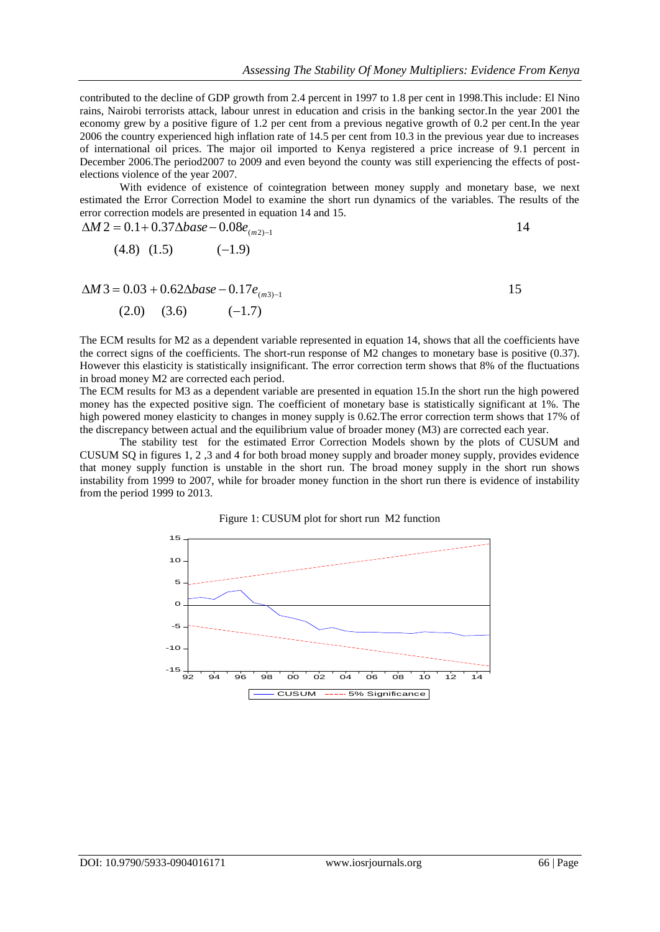contributed to the decline of GDP growth from 2.4 percent in 1997 to 1.8 per cent in 1998.This include: El Nino rains, Nairobi terrorists attack, labour unrest in education and crisis in the banking sector.In the year 2001 the economy grew by a positive figure of 1.2 per cent from a previous negative growth of 0.2 per cent.In the year 2006 the country experienced high inflation rate of 14.5 per cent from 10.3 in the previous year due to increases of international oil prices. The major oil imported to Kenya registered a price increase of 9.1 percent in December 2006.The period2007 to 2009 and even beyond the county was still experiencing the effects of postelections violence of the year 2007.

With evidence of existence of cointegration between money supply and monetary base, we next estimated the Error Correction Model to examine the short run dynamics of the variables. The results of the error correction models are presented in equation 14 and 15.

$$
\Delta M 2 = 0.1 + 0.37 \Delta base - 0.08 e_{(m2)-1}
$$

$$
(4.8) (1.5) \qquad (-1.9)
$$

 $(2.0)$   $(3.6)$   $(-1.7)$  $\Delta M$  3 = 0.03 + 0.62 $\Delta base - 0.17 e_{(m3)-1}$  15

The ECM results for M2 as a dependent variable represented in equation 14, shows that all the coefficients have the correct signs of the coefficients. The short-run response of M2 changes to monetary base is positive (0.37). However this elasticity is statistically insignificant. The error correction term shows that 8% of the fluctuations in broad money M2 are corrected each period.

The ECM results for M3 as a dependent variable are presented in equation 15.In the short run the high powered money has the expected positive sign. The coefficient of monetary base is statistically significant at 1%. The high powered money elasticity to changes in money supply is 0.62.The error correction term shows that 17% of the discrepancy between actual and the equilibrium value of broader money (M3) are corrected each year.

The stability test for the estimated Error Correction Models shown by the plots of CUSUM and CUSUM SQ in figures 1, 2 ,3 and 4 for both broad money supply and broader money supply, provides evidence that money supply function is unstable in the short run. The broad money supply in the short run shows instability from 1999 to 2007, while for broader money function in the short run there is evidence of instability from the period 1999 to 2013.

Figure 1: CUSUM plot for short run M2 function

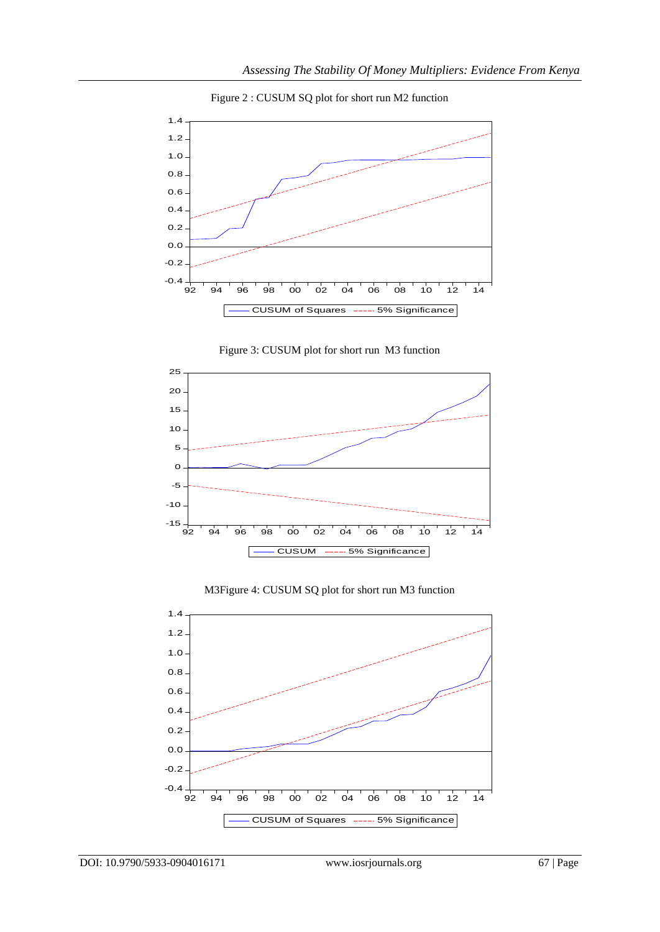

Figure 2 : CUSUM SQ plot for short run M2 function







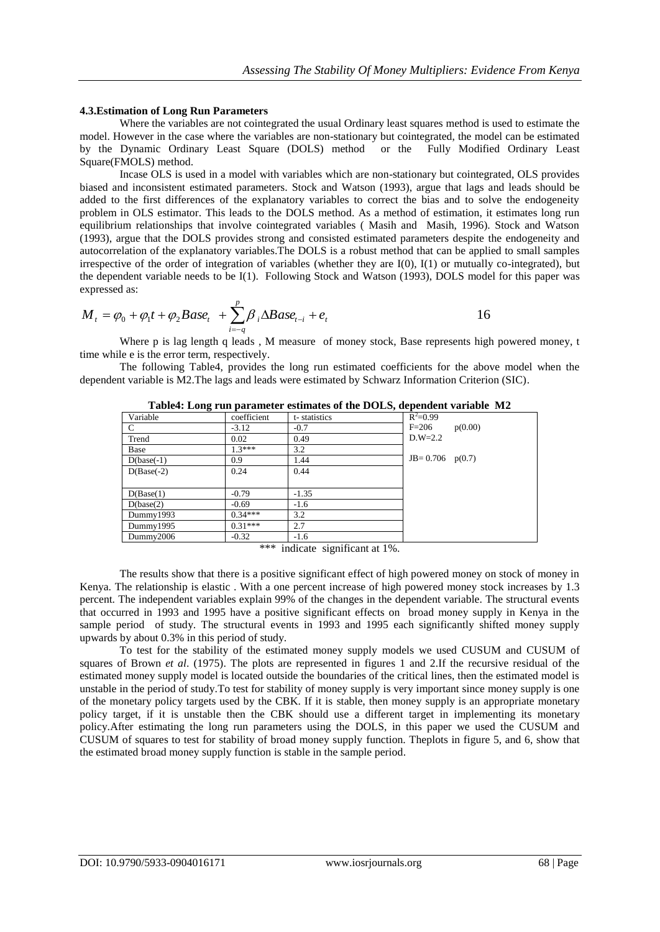#### **4.3.Estimation of Long Run Parameters**

Where the variables are not cointegrated the usual Ordinary least squares method is used to estimate the model. However in the case where the variables are non-stationary but cointegrated, the model can be estimated by the Dynamic Ordinary Least Square (DOLS) method or the Fully Modified Ordinary Least Square(FMOLS) method.

Incase OLS is used in a model with variables which are non-stationary but cointegrated, OLS provides biased and inconsistent estimated parameters. Stock and Watson (1993), argue that lags and leads should be added to the first differences of the explanatory variables to correct the bias and to solve the endogeneity problem in OLS estimator. This leads to the DOLS method. As a method of estimation, it estimates long run equilibrium relationships that involve cointegrated variables ( Masih and Masih, 1996). Stock and Watson (1993), argue that the DOLS provides strong and consisted estimated parameters despite the endogeneity and autocorrelation of the explanatory variables.The DOLS is a robust method that can be applied to small samples irrespective of the order of integration of variables (whether they are I(0), I(1) or mutually co-integrated), but the dependent variable needs to be I(1). Following Stock and Watson (1993), DOLS model for this paper was expressed as:

$$
M_{t} = \varphi_{0} + \varphi_{1}t + \varphi_{2}Base_{t} + \sum_{i=-q}^{p} \beta_{i} \Delta Base_{t-i} + e_{t}
$$

Where p is lag length q leads, M measure of money stock, Base represents high powered money, t time while e is the error term, respectively.

The following Table4, provides the long run estimated coefficients for the above model when the dependent variable is M2.The lags and leads were estimated by Schwarz Information Criterion (SIC).

| - <del>. .</del> |             |              |                     |         |
|------------------|-------------|--------------|---------------------|---------|
| Variable         | coefficient | t-statistics | $R^2 = 0.99$        |         |
| C                | $-3.12$     | $-0.7$       | $F=206$             | p(0.00) |
| Trend            | 0.02        | 0.49         | $D.W=2.2$           |         |
| Base             | $1.3***$    | 3.2          |                     |         |
| $D(base(-1)$     | 0.9         | 1.44         | $JB=0.706$ $p(0.7)$ |         |
| $D(Base(-2))$    | 0.24        | 0.44         |                     |         |
|                  |             |              |                     |         |
| D(Base(1)        | $-0.79$     | $-1.35$      |                     |         |
| D(base(2)        | $-0.69$     | $-1.6$       |                     |         |
| Dummy1993        | $0.34***$   | 3.2          |                     |         |
| Dummy1995        | $0.31***$   | 2.7          |                     |         |
| Dummy2006        | $-0.32$     | $-1.6$       |                     |         |
|                  |             |              |                     |         |

**Table4: Long run parameter estimates of the DOLS, dependent variable M2**

\*\*\* indicate significant at 1%.

The results show that there is a positive significant effect of high powered money on stock of money in Kenya. The relationship is elastic . With a one percent increase of high powered money stock increases by 1.3 percent. The independent variables explain 99% of the changes in the dependent variable. The structural events that occurred in 1993 and 1995 have a positive significant effects on broad money supply in Kenya in the sample period of study. The structural events in 1993 and 1995 each significantly shifted money supply upwards by about 0.3% in this period of study.

To test for the stability of the estimated money supply models we used CUSUM and CUSUM of squares of Brown *et al*. (1975). The plots are represented in figures 1 and 2.If the recursive residual of the estimated money supply model is located outside the boundaries of the critical lines, then the estimated model is unstable in the period of study.To test for stability of money supply is very important since money supply is one of the monetary policy targets used by the CBK. If it is stable, then money supply is an appropriate monetary policy target, if it is unstable then the CBK should use a different target in implementing its monetary policy.After estimating the long run parameters using the DOLS, in this paper we used the CUSUM and CUSUM of squares to test for stability of broad money supply function. Theplots in figure 5, and 6, show that the estimated broad money supply function is stable in the sample period.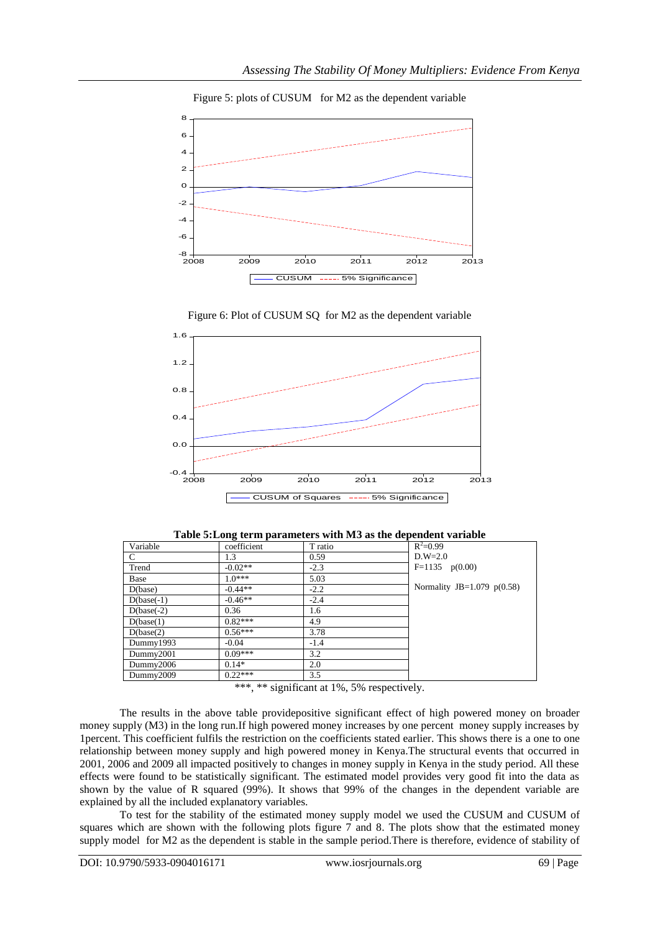

## Figure 5: plots of CUSUM for M2 as the dependent variable



Figure 6: Plot of CUSUM SQ for M2 as the dependent variable

| Table 5: Long term parameters with M3 as the dependent variable |  |  |  |  |  |
|-----------------------------------------------------------------|--|--|--|--|--|
|-----------------------------------------------------------------|--|--|--|--|--|

| Variable     | coefficient | T ratio | $R^2 = 0.99$                  |
|--------------|-------------|---------|-------------------------------|
| C            | 1.3         | 0.59    | $D.W=2.0$                     |
| Trend        | $-0.02**$   | $-2.3$  | $F=1135$ $p(0.00)$            |
| Base         | $10***$     | 5.03    |                               |
| D(base)      | $-0.44**$   | $-2.2$  | Normality JB= $1.079$ p(0.58) |
| $D(base(-1)$ | $-0.46**$   | $-2.4$  |                               |
| $D(base(-2)$ | 0.36        | 1.6     |                               |
| D(base(1)    | $0.82***$   | 4.9     |                               |
| D(base(2)    | $0.56***$   | 3.78    |                               |
| Dummy1993    | $-0.04$     | $-1.4$  |                               |
| Dummy2001    | $0.09***$   | 3.2     |                               |
| Dummy2006    | $0.14*$     | 2.0     |                               |
| Dummy2009    | $0.22***$   | 3.5     |                               |

\*\*\*, \*\* significant at 1%, 5% respectively.

The results in the above table providepositive significant effect of high powered money on broader money supply (M3) in the long run.If high powered money increases by one percent money supply increases by 1percent. This coefficient fulfils the restriction on the coefficients stated earlier. This shows there is a one to one relationship between money supply and high powered money in Kenya.The structural events that occurred in 2001, 2006 and 2009 all impacted positively to changes in money supply in Kenya in the study period. All these effects were found to be statistically significant. The estimated model provides very good fit into the data as shown by the value of R squared (99%). It shows that 99% of the changes in the dependent variable are explained by all the included explanatory variables.

To test for the stability of the estimated money supply model we used the CUSUM and CUSUM of squares which are shown with the following plots figure 7 and 8. The plots show that the estimated money supply model for M2 as the dependent is stable in the sample period.There is therefore, evidence of stability of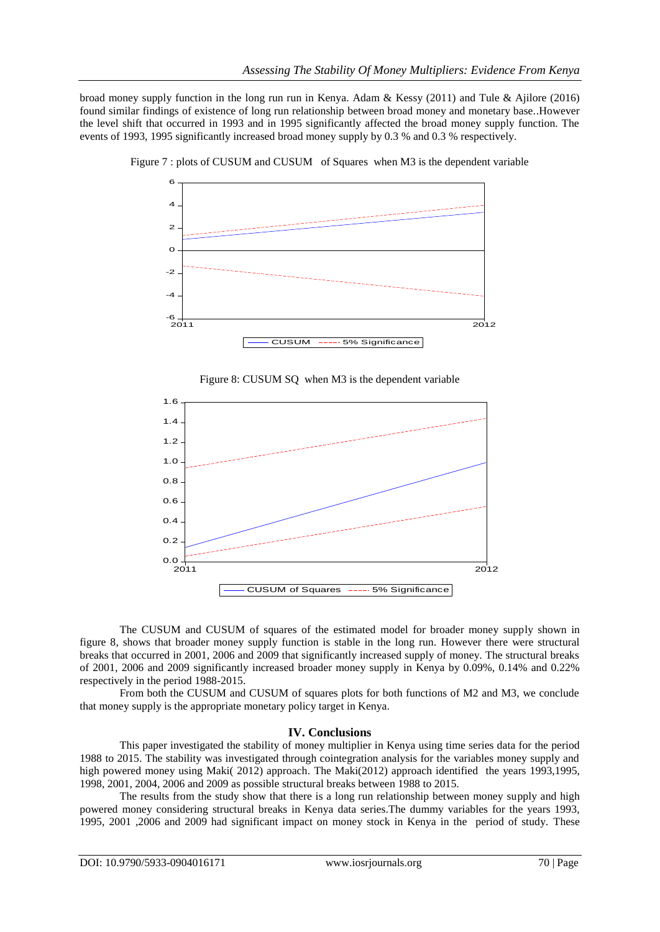broad money supply function in the long run run in Kenya. Adam & Kessy (2011) and Tule & Ajilore (2016) found similar findings of existence of long run relationship between broad money and monetary base..However the level shift that occurred in 1993 and in 1995 significantly affected the broad money supply function. The events of 1993, 1995 significantly increased broad money supply by 0.3 % and 0.3 % respectively.



Figure 7 : plots of CUSUM and CUSUM of Squares when M3 is the dependent variable





The CUSUM and CUSUM of squares of the estimated model for broader money supply shown in figure 8, shows that broader money supply function is stable in the long run. However there were structural breaks that occurred in 2001, 2006 and 2009 that significantly increased supply of money. The structural breaks of 2001, 2006 and 2009 significantly increased broader money supply in Kenya by 0.09%, 0.14% and 0.22% respectively in the period 1988-2015.

From both the CUSUM and CUSUM of squares plots for both functions of M2 and M3, we conclude that money supply is the appropriate monetary policy target in Kenya.

## **IV. Conclusions**

This paper investigated the stability of money multiplier in Kenya using time series data for the period 1988 to 2015. The stability was investigated through cointegration analysis for the variables money supply and high powered money using Maki( 2012) approach. The Maki(2012) approach identified the years 1993,1995, 1998, 2001, 2004, 2006 and 2009 as possible structural breaks between 1988 to 2015.

The results from the study show that there is a long run relationship between money supply and high powered money considering structural breaks in Kenya data series.The dummy variables for the years 1993, 1995, 2001 ,2006 and 2009 had significant impact on money stock in Kenya in the period of study. These